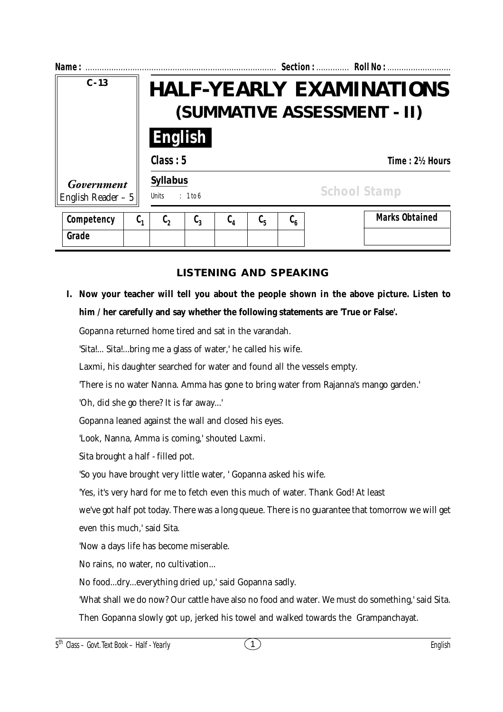| Name:                             |         |                                                             |                  |         |         |                                        | Section:  Roll No :                                            |  |
|-----------------------------------|---------|-------------------------------------------------------------|------------------|---------|---------|----------------------------------------|----------------------------------------------------------------|--|
| $C - 13$                          |         |                                                             |                  |         |         |                                        | <b>HALF-YEARLY EXAMINATIONS</b><br>(SUMMATIVE ASSESSMENT - II) |  |
|                                   |         |                                                             | <b>English</b>   |         |         |                                        |                                                                |  |
| Government<br>English Reader $-5$ |         | Class: 5<br>Time: 2½ Hours                                  |                  |         |         |                                        |                                                                |  |
|                                   |         | <b>Syllabus</b><br><b>School Stamp</b><br>Units<br>: 1 to 6 |                  |         |         |                                        |                                                                |  |
| Competency                        | $C_{1}$ | $\mathfrak{c}_2$                                            | $\mathfrak{c}_3$ | $C_{4}$ | $C_{5}$ | $\mathfrak{c}_{\scriptscriptstyle{6}}$ | <b>Marks Obtained</b>                                          |  |
| Grade                             |         |                                                             |                  |         |         |                                        |                                                                |  |

## **LISTENING AND SPEAKING**

**I. Now your teacher will tell you about the people shown in the above picture. Listen to him / her carefully and say whether the following statements are 'True or False'.**

Gopanna returned home tired and sat in the varandah.

'Sita!... Sita!...bring me a glass of water,' he called his wife.

Laxmi, his daughter searched for water and found all the vessels empty.

'There is no water Nanna. Amma has gone to bring water from Rajanna's mango garden.'

'Oh, did she go there? It is far away...'

Gopanna leaned against the wall and closed his eyes.

'Look, Nanna, Amma is coming,' shouted Laxmi.

Sita brought a half - filled pot.

'So you have brought very little water, ' Gopanna asked his wife.

'Yes, it's very hard for me to fetch even this much of water. Thank God! At least

we've got half pot today. There was a long queue. There is no guarantee that tomorrow we will get even this much,' said Sita.

'Now a days life has become miserable.

No rains, no water, no cultivation...

No food...dry...everything dried up,' said Gopanna sadly.

'What shall we do now? Our cattle have also no food and water. We must do something,' said Sita.

Then Gopanna slowly got up, jerked his towel and walked towards the Grampanchayat.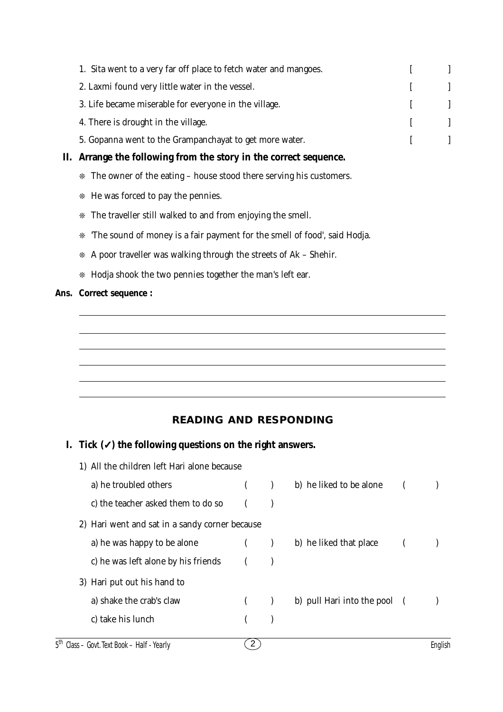|    | 1. Sita went to a very far off place to fetch water and mangoes.               |  |
|----|--------------------------------------------------------------------------------|--|
|    | 2. Laxmi found very little water in the vessel.                                |  |
|    | 3. Life became miserable for everyone in the village.                          |  |
|    | 4. There is drought in the village.                                            |  |
|    | 5. Gopanna went to the Grampanchayat to get more water.                        |  |
| П. | Arrange the following from the story in the correct sequence.                  |  |
|    | * The owner of the eating - house stood there serving his customers.           |  |
|    | * He was forced to pay the pennies.                                            |  |
|    | The traveller still walked to and from enjoying the smell.<br>*                |  |
|    | 'The sound of money is a fair payment for the smell of food', said Hodja.<br>* |  |
|    | A poor traveller was walking through the streets of Ak – Shehir.               |  |
|    | * Hodja shook the two pennies together the man's left ear.                     |  |

# **Ans. Correct sequence :**

# **READING AND RESPONDING**

# **I. Tick (**✓**) the following questions on the right answers.**

| 1) All the children left Hari alone because    |  |  |                              |  |  |
|------------------------------------------------|--|--|------------------------------|--|--|
| a) he troubled others                          |  |  | b) he liked to be alone      |  |  |
| c) the teacher asked them to do so             |  |  |                              |  |  |
| 2) Hari went and sat in a sandy corner because |  |  |                              |  |  |
| a) he was happy to be alone                    |  |  | b) he liked that place       |  |  |
| c) he was left alone by his friends            |  |  |                              |  |  |
| 3) Hari put out his hand to                    |  |  |                              |  |  |
| a) shake the crab's claw                       |  |  | b) pull Hari into the pool ( |  |  |
| c) take his lunch                              |  |  |                              |  |  |
|                                                |  |  |                              |  |  |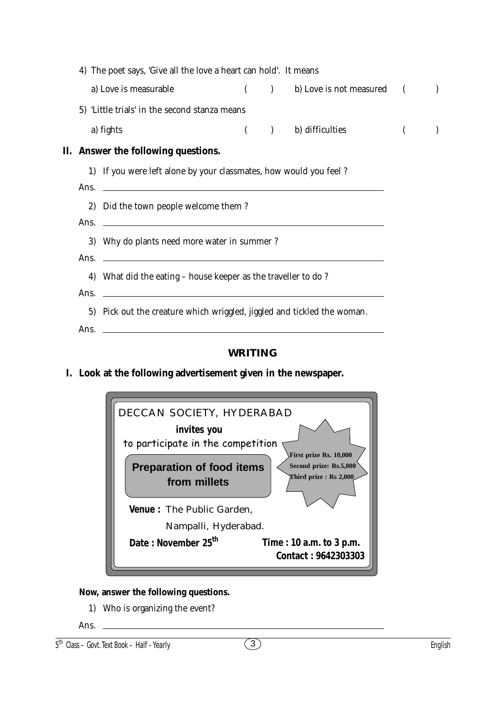| 4) The poet says, 'Give all the love a heart can hold'. It means                                                                 |                                                                                                 |  |                            |                |  |  |
|----------------------------------------------------------------------------------------------------------------------------------|-------------------------------------------------------------------------------------------------|--|----------------------------|----------------|--|--|
| a) Love is measurable                                                                                                            |                                                                                                 |  | (b) Love is not measured ( |                |  |  |
| 5) 'Little trials' in the second stanza means                                                                                    |                                                                                                 |  |                            |                |  |  |
| a) fights                                                                                                                        |                                                                                                 |  | ( ) b) difficulties        | $\overline{ }$ |  |  |
| II. Answer the following questions.                                                                                              |                                                                                                 |  |                            |                |  |  |
| 1) If you were left alone by your classmates, how would you feel?                                                                |                                                                                                 |  |                            |                |  |  |
| Ans.                                                                                                                             | <u> 1989 - Johann Stein, fransk politiker (d. 1989)</u><br>2) Did the town people welcome them? |  |                            |                |  |  |
| <u> 1989 - Johann Harry Harry Harry Harry Harry Harry Harry Harry Harry Harry Harry Harry Harry Harry Harry Harry</u><br>Ans.    |                                                                                                 |  |                            |                |  |  |
|                                                                                                                                  | 3) Why do plants need more water in summer ?                                                    |  |                            |                |  |  |
| <u> 1989 - Johann Harry Harry Harry Harry Harry Harry Harry Harry Harry Harry Harry Harry Harry Harry Harry Harry</u><br>Ans.    |                                                                                                 |  |                            |                |  |  |
| 4) What did the eating - house keeper as the traveller to do?<br>Ans.<br><u> 1989 - Johann Barnett, fransk politik (d. 1989)</u> |                                                                                                 |  |                            |                |  |  |
| 5) Pick out the creature which wriggled, jiggled and tickled the woman.                                                          |                                                                                                 |  |                            |                |  |  |
| Ans.<br><u> 1989 - Johann Stein, marwolaethau a bhann an t-Amhain an t-Amhain an t-Amhain an t-Amhain an t-Amhain an t-A</u>     |                                                                                                 |  |                            |                |  |  |
|                                                                                                                                  |                                                                                                 |  |                            |                |  |  |

#### **WRITING**

**I. Look at the following advertisement given in the newspaper.**



#### **Now, answer the following questions.**

1) Who is organizing the event?

Ans.

<sup>5</sup> th Class – Govt. Text Book – **Half - Yearly** English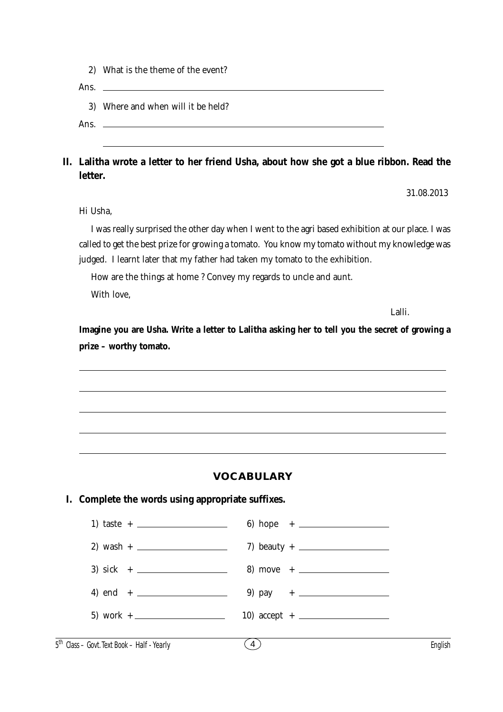2) What is the theme of the event?

Ans.

3) Where and when will it be held?

Ans.

### **II. Lalitha wrote a letter to her friend Usha, about how she got a blue ribbon. Read the letter.**

31.08.2013

Hi Usha,

I was really surprised the other day when I went to the agri based exhibition at our place. I was called to get the best prize for growing a tomato. You know my tomato without my knowledge was judged. I learnt later that my father had taken my tomato to the exhibition.

How are the things at home ? Convey my regards to uncle and aunt.

With love,

Lalli.

**Imagine you are Usha. Write a letter to Lalitha asking her to tell you the secret of growing a prize – worthy tomato.**

#### **VOCABULARY**

#### **I. Complete the words using appropriate suffixes.**

| 10) $accept + \_$ |
|-------------------|
|                   |

5 th Class – Govt. Text Book – **Half - Yearly** English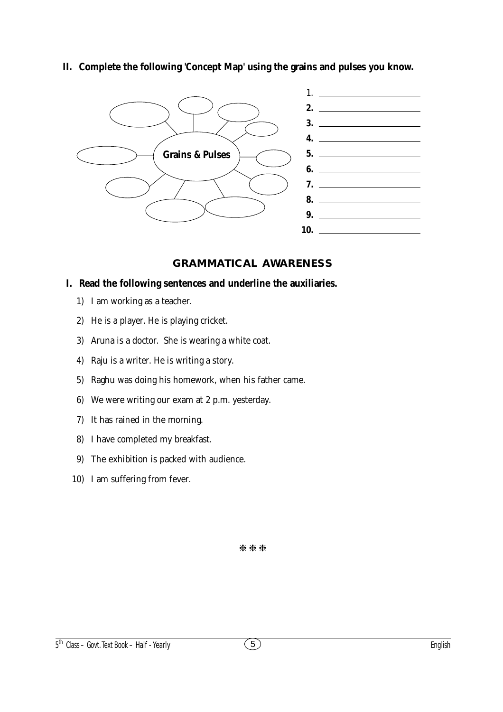**II. Complete the following 'Concept Map' using the grains and pulses you know.**



## **GRAMMATICAL AWARENESS**

### **I. Read the following sentences and underline the auxiliaries.**

- 1) I am working as a teacher.
- 2) He is a player. He is playing cricket.
- 3) Aruna is a doctor. She is wearing a white coat.
- 4) Raju is a writer. He is writing a story.
- 5) Raghu was doing his homework, when his father came.
- 6) We were writing our exam at 2 p.m. yesterday.
- 7) It has rained in the morning.
- 8) I have completed my breakfast.
- 9) The exhibition is packed with audience.
- 10) I am suffering from fever.

\*\*\*